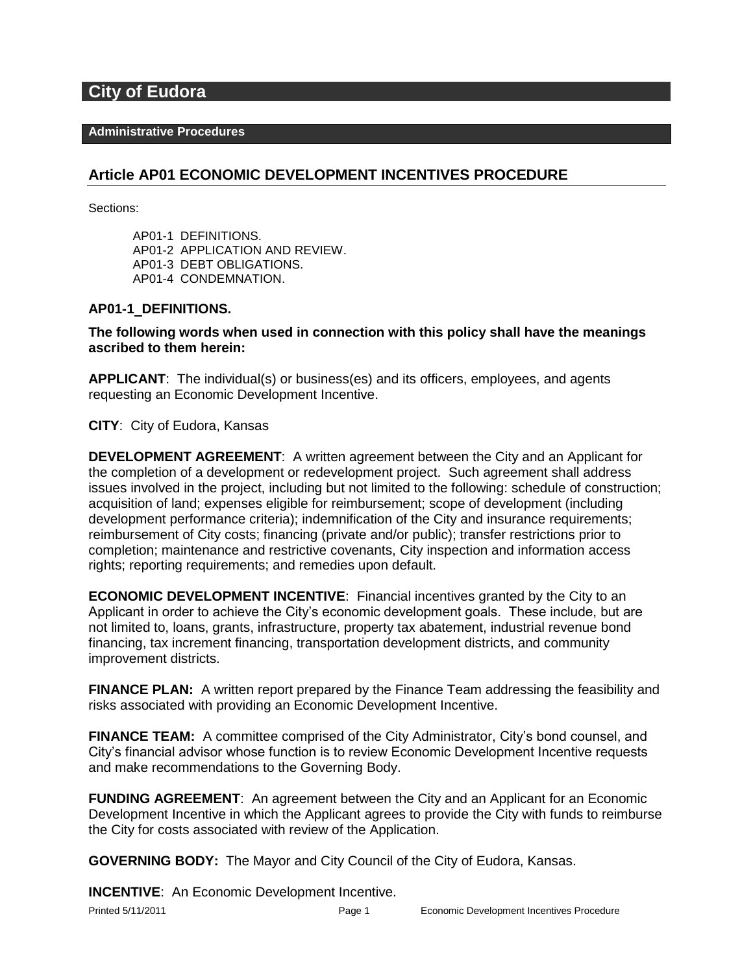# **City of Eudora**

#### **Administrative Procedures**

# **Article AP01 ECONOMIC DEVELOPMENT INCENTIVES PROCEDURE**

Sections:

AP01-1 DEFINITIONS. AP01-2 APPLICATION AND REVIEW. AP01-3 DEBT OBLIGATIONS. AP01-4 CONDEMNATION.

#### **AP01-1 DEFINITIONS.**

**The following words when used in connection with this policy shall have the meanings ascribed to them herein:**

**APPLICANT**: The individual(s) or business(es) and its officers, employees, and agents requesting an Economic Development Incentive.

**CITY**: City of Eudora, Kansas

**DEVELOPMENT AGREEMENT**: A written agreement between the City and an Applicant for the completion of a development or redevelopment project. Such agreement shall address issues involved in the project, including but not limited to the following: schedule of construction; acquisition of land; expenses eligible for reimbursement; scope of development (including development performance criteria); indemnification of the City and insurance requirements; reimbursement of City costs; financing (private and/or public); transfer restrictions prior to completion; maintenance and restrictive covenants, City inspection and information access rights; reporting requirements; and remedies upon default.

**ECONOMIC DEVELOPMENT INCENTIVE**: Financial incentives granted by the City to an Applicant in order to achieve the City's economic development goals. These include, but are not limited to, loans, grants, infrastructure, property tax abatement, industrial revenue bond financing, tax increment financing, transportation development districts, and community improvement districts.

**FINANCE PLAN:** A written report prepared by the Finance Team addressing the feasibility and risks associated with providing an Economic Development Incentive.

**FINANCE TEAM:** A committee comprised of the City Administrator, City's bond counsel, and City's financial advisor whose function is to review Economic Development Incentive requests and make recommendations to the Governing Body.

**FUNDING AGREEMENT**: An agreement between the City and an Applicant for an Economic Development Incentive in which the Applicant agrees to provide the City with funds to reimburse the City for costs associated with review of the Application.

**GOVERNING BODY:** The Mayor and City Council of the City of Eudora, Kansas.

**INCENTIVE**: An Economic Development Incentive.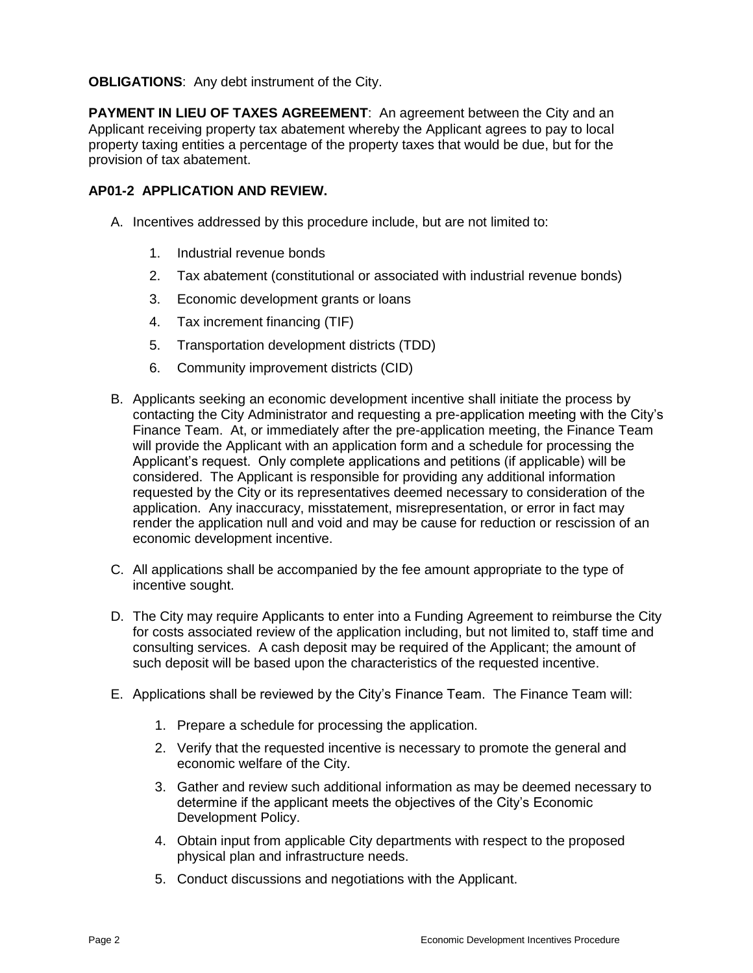**OBLIGATIONS**: Any debt instrument of the City.

**PAYMENT IN LIEU OF TAXES AGREEMENT:** An agreement between the City and an Applicant receiving property tax abatement whereby the Applicant agrees to pay to local property taxing entities a percentage of the property taxes that would be due, but for the provision of tax abatement.

### **AP01-2 APPLICATION AND REVIEW.**

- A. Incentives addressed by this procedure include, but are not limited to:
	- 1. Industrial revenue bonds
	- 2. Tax abatement (constitutional or associated with industrial revenue bonds)
	- 3. Economic development grants or loans
	- 4. Tax increment financing (TIF)
	- 5. Transportation development districts (TDD)
	- 6. Community improvement districts (CID)
- B. Applicants seeking an economic development incentive shall initiate the process by contacting the City Administrator and requesting a pre-application meeting with the City's Finance Team. At, or immediately after the pre-application meeting, the Finance Team will provide the Applicant with an application form and a schedule for processing the Applicant's request. Only complete applications and petitions (if applicable) will be considered. The Applicant is responsible for providing any additional information requested by the City or its representatives deemed necessary to consideration of the application. Any inaccuracy, misstatement, misrepresentation, or error in fact may render the application null and void and may be cause for reduction or rescission of an economic development incentive.
- C. All applications shall be accompanied by the fee amount appropriate to the type of incentive sought.
- D. The City may require Applicants to enter into a Funding Agreement to reimburse the City for costs associated review of the application including, but not limited to, staff time and consulting services. A cash deposit may be required of the Applicant; the amount of such deposit will be based upon the characteristics of the requested incentive.
- E. Applications shall be reviewed by the City's Finance Team. The Finance Team will:
	- 1. Prepare a schedule for processing the application.
	- 2. Verify that the requested incentive is necessary to promote the general and economic welfare of the City.
	- 3. Gather and review such additional information as may be deemed necessary to determine if the applicant meets the objectives of the City's Economic Development Policy.
	- 4. Obtain input from applicable City departments with respect to the proposed physical plan and infrastructure needs.
	- 5. Conduct discussions and negotiations with the Applicant.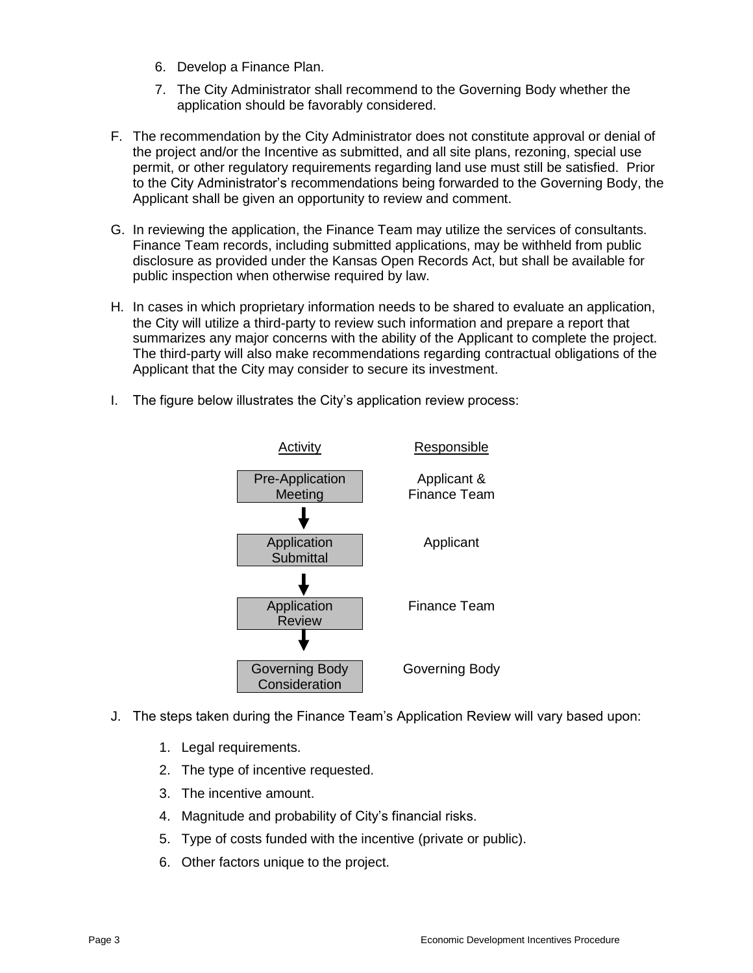- 6. Develop a Finance Plan.
- 7. The City Administrator shall recommend to the Governing Body whether the application should be favorably considered.
- F. The recommendation by the City Administrator does not constitute approval or denial of the project and/or the Incentive as submitted, and all site plans, rezoning, special use permit, or other regulatory requirements regarding land use must still be satisfied. Prior to the City Administrator's recommendations being forwarded to the Governing Body, the Applicant shall be given an opportunity to review and comment.
- G. In reviewing the application, the Finance Team may utilize the services of consultants. Finance Team records, including submitted applications, may be withheld from public disclosure as provided under the Kansas Open Records Act, but shall be available for public inspection when otherwise required by law.
- H. In cases in which proprietary information needs to be shared to evaluate an application, the City will utilize a third-party to review such information and prepare a report that summarizes any major concerns with the ability of the Applicant to complete the project. The third-party will also make recommendations regarding contractual obligations of the Applicant that the City may consider to secure its investment.
- I. The figure below illustrates the City's application review process:



- J. The steps taken during the Finance Team's Application Review will vary based upon:
	- 1. Legal requirements.
	- 2. The type of incentive requested.
	- 3. The incentive amount.
	- 4. Magnitude and probability of City's financial risks.
	- 5. Type of costs funded with the incentive (private or public).
	- 6. Other factors unique to the project.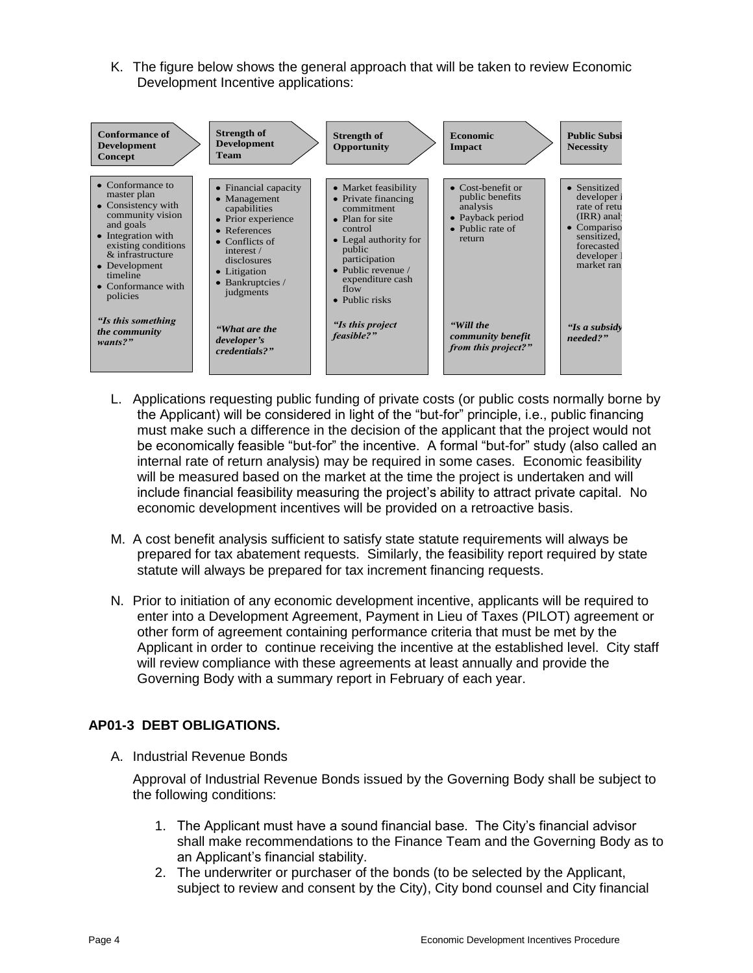K. The figure below shows the general approach that will be taken to review Economic Development Incentive applications:



- L. Applications requesting public funding of private costs (or public costs normally borne by the Applicant) will be considered in light of the "but-for" principle, i.e., public financing must make such a difference in the decision of the applicant that the project would not be economically feasible "but-for" the incentive. A formal "but-for" study (also called an internal rate of return analysis) may be required in some cases. Economic feasibility will be measured based on the market at the time the project is undertaken and will include financial feasibility measuring the project's ability to attract private capital. No economic development incentives will be provided on a retroactive basis.
- M. A cost benefit analysis sufficient to satisfy state statute requirements will always be prepared for tax abatement requests. Similarly, the feasibility report required by state statute will always be prepared for tax increment financing requests.
- N. Prior to initiation of any economic development incentive, applicants will be required to enter into a Development Agreement, Payment in Lieu of Taxes (PILOT) agreement or other form of agreement containing performance criteria that must be met by the Applicant in order to continue receiving the incentive at the established level. City staff will review compliance with these agreements at least annually and provide the Governing Body with a summary report in February of each year.

# **AP01-3 DEBT OBLIGATIONS.**

A. Industrial Revenue Bonds

Approval of Industrial Revenue Bonds issued by the Governing Body shall be subject to the following conditions:

- 1. The Applicant must have a sound financial base. The City's financial advisor shall make recommendations to the Finance Team and the Governing Body as to an Applicant's financial stability.
- 2. The underwriter or purchaser of the bonds (to be selected by the Applicant,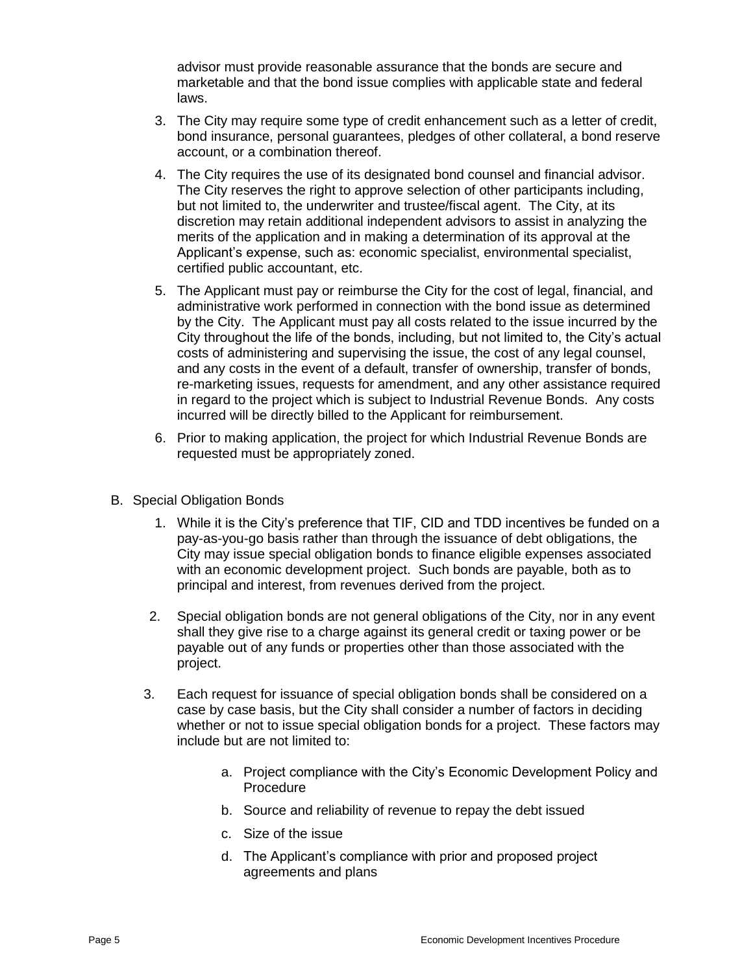advisor must provide reasonable assurance that the bonds are secure and marketable and that the bond issue complies with applicable state and federal laws.

- 3. The City may require some type of credit enhancement such as a letter of credit, bond insurance, personal guarantees, pledges of other collateral, a bond reserve account, or a combination thereof.
- 4. The City requires the use of its designated bond counsel and financial advisor. The City reserves the right to approve selection of other participants including, but not limited to, the underwriter and trustee/fiscal agent. The City, at its discretion may retain additional independent advisors to assist in analyzing the merits of the application and in making a determination of its approval at the Applicant's expense, such as: economic specialist, environmental specialist, certified public accountant, etc.
- 5. The Applicant must pay or reimburse the City for the cost of legal, financial, and administrative work performed in connection with the bond issue as determined by the City. The Applicant must pay all costs related to the issue incurred by the City throughout the life of the bonds, including, but not limited to, the City's actual costs of administering and supervising the issue, the cost of any legal counsel, and any costs in the event of a default, transfer of ownership, transfer of bonds, re-marketing issues, requests for amendment, and any other assistance required in regard to the project which is subject to Industrial Revenue Bonds. Any costs incurred will be directly billed to the Applicant for reimbursement.
- 6. Prior to making application, the project for which Industrial Revenue Bonds are requested must be appropriately zoned.
- B. Special Obligation Bonds
	- 1. While it is the City's preference that TIF, CID and TDD incentives be funded on a pay-as-you-go basis rather than through the issuance of debt obligations, the City may issue special obligation bonds to finance eligible expenses associated with an economic development project. Such bonds are payable, both as to principal and interest, from revenues derived from the project.
	- 2. Special obligation bonds are not general obligations of the City, nor in any event shall they give rise to a charge against its general credit or taxing power or be payable out of any funds or properties other than those associated with the project.
	- 3. Each request for issuance of special obligation bonds shall be considered on a case by case basis, but the City shall consider a number of factors in deciding whether or not to issue special obligation bonds for a project. These factors may include but are not limited to:
		- a. Project compliance with the City's Economic Development Policy and Procedure
		- b. Source and reliability of revenue to repay the debt issued
		- c. Size of the issue
		- d. The Applicant's compliance with prior and proposed project agreements and plans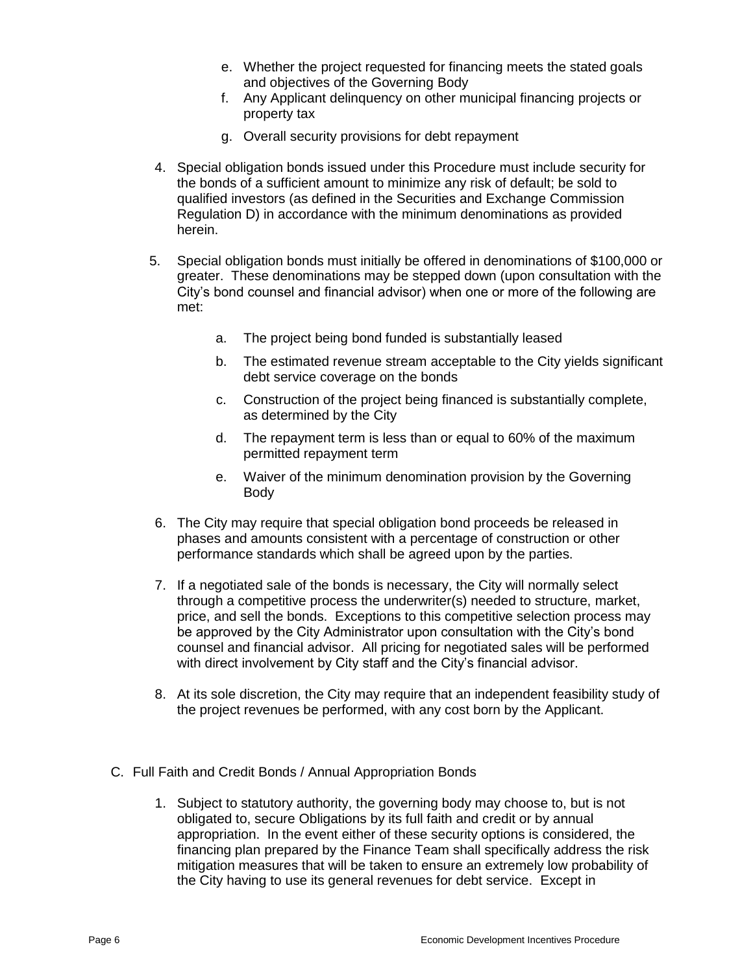- e. Whether the project requested for financing meets the stated goals and objectives of the Governing Body
- f. Any Applicant delinquency on other municipal financing projects or property tax
- g. Overall security provisions for debt repayment
- 4. Special obligation bonds issued under this Procedure must include security for the bonds of a sufficient amount to minimize any risk of default; be sold to qualified investors (as defined in the Securities and Exchange Commission Regulation D) in accordance with the minimum denominations as provided herein.
- 5. Special obligation bonds must initially be offered in denominations of \$100,000 or greater. These denominations may be stepped down (upon consultation with the City's bond counsel and financial advisor) when one or more of the following are met:
	- a. The project being bond funded is substantially leased
	- b. The estimated revenue stream acceptable to the City yields significant debt service coverage on the bonds
	- c. Construction of the project being financed is substantially complete, as determined by the City
	- d. The repayment term is less than or equal to 60% of the maximum permitted repayment term
	- e. Waiver of the minimum denomination provision by the Governing Body
- 6. The City may require that special obligation bond proceeds be released in phases and amounts consistent with a percentage of construction or other performance standards which shall be agreed upon by the parties.
- 7. If a negotiated sale of the bonds is necessary, the City will normally select through a competitive process the underwriter(s) needed to structure, market, price, and sell the bonds. Exceptions to this competitive selection process may be approved by the City Administrator upon consultation with the City's bond counsel and financial advisor. All pricing for negotiated sales will be performed with direct involvement by City staff and the City's financial advisor.
- 8. At its sole discretion, the City may require that an independent feasibility study of the project revenues be performed, with any cost born by the Applicant.
- C. Full Faith and Credit Bonds / Annual Appropriation Bonds
	- 1. Subject to statutory authority, the governing body may choose to, but is not obligated to, secure Obligations by its full faith and credit or by annual appropriation. In the event either of these security options is considered, the financing plan prepared by the Finance Team shall specifically address the risk mitigation measures that will be taken to ensure an extremely low probability of the City having to use its general revenues for debt service. Except in